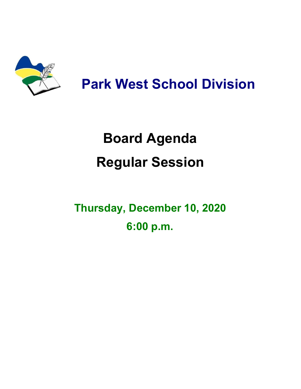

## **Park West School Division**

# **Board Agenda Regular Session**

**Thursday, December 10, 2020 6:00 p.m.**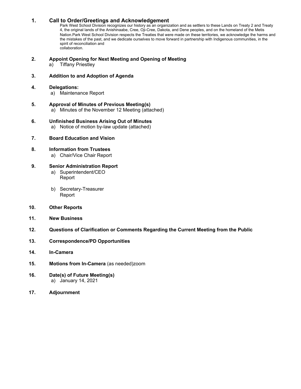#### **1. Call to Order/Greetings and Acknowledgement**

Park West School Division recognizes our history as an organization and as settlers to these Lands on Treaty 2 and Treaty 4, the original lands of the Anishinaabe, Cree, Oji-Cree, Dakota, and Dene peoples, and on the homeland of the Metis Nation.Park West School Division respects the Treaties that were made on these territories, we acknowledge the harms and the mistakes of the past, and we dedicate ourselves to move forward in partnership with Indigenous communities, in the spirit of reconciliation and collaboration.

#### **2. Appoint Opening for Next Meeting and Opening of Meeting**

a) Tiffany Priestley

#### **3. Addition to and Adoption of Agenda**

#### **4. Delegations:**

- a) Maintenance Report
- **5. Approval of Minutes of Previous Meeting(s)** a) Minutes of the November 12 Meeting (attached)
- **6. Unfinished Business Arising Out of Minutes** a) Notice of motion by-law update (attached)
- **7. Board Education and Vision**
- **8. Information from Trustees**
	- a) Chair/Vice Chair Report

#### **9. Senior Administration Report**

- a) Superintendent/CEO Report
- b) Secretary-Treasurer Report

#### **10. Other Reports**

- **11. New Business**
- **12. Questions of Clarification or Comments Regarding the Current Meeting from the Public**
- **13. Correspondence/PD Opportunities**
- **14. In-Camera**
- **15. Motions from In-Camera** (as needed)zoom
- **16. Date(s) of Future Meeting(s)** a) January 14, 2021
- **17. Adjournment**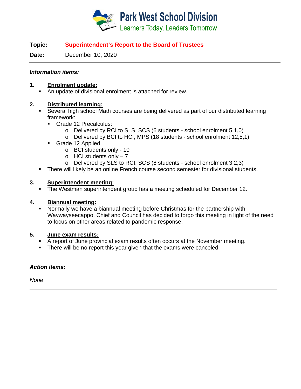

#### **Topic: Superintendent's Report to the Board of Trustees**

**Date:** December 10, 2020

#### *Information items:*

#### **1. Enrolment update:**

An update of divisional enrolment is attached for review.

#### **2. Distributed learning:**

- Several high school Math courses are being delivered as part of our distributed learning framework:
	- Grade 12 Precalculus:
		- o Delivered by RCI to SLS, SCS (6 students school enrolment 5,1,0)
		- o Delivered by BCI to HCI, MPS (18 students school enrolment 12,5,1)
	- Grade 12 Applied
		- o BCI students only 10
		- $\circ$  HCI students only  $-7$
		- o Delivered by SLS to RCI, SCS (8 students school enrolment 3,2,3)
- **There will likely be an online French course second semester for divisional students.**

#### **3. Superintendent meeting:**

The Westman superintendent group has a meeting scheduled for December 12.

#### **4. Biannual meeting:**

 Normally we have a biannual meeting before Christmas for the partnership with Waywayseecappo. Chief and Council has decided to forgo this meeting in light of the need to focus on other areas related to pandemic response.

#### **5. June exam results:**

- A report of June provincial exam results often occurs at the November meeting.
- **There will be no report this year given that the exams were canceled.**

#### *Action items:*

*None*